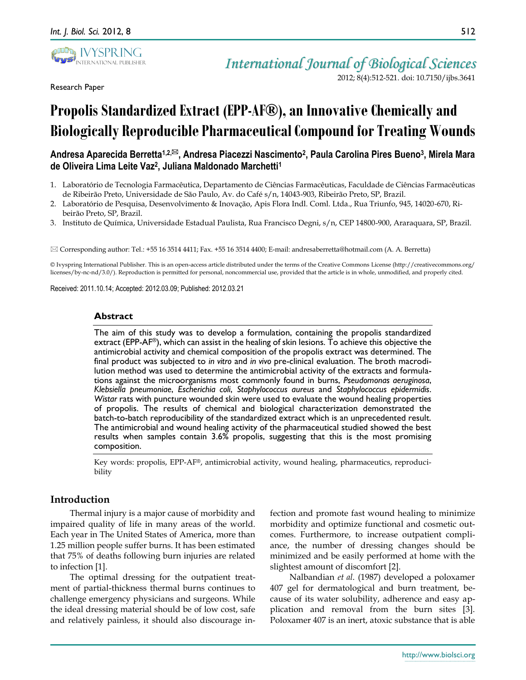

Research Paper

*International Journal of Biological Sciences* 2012; 8(4):512-521. doi: 10.7150/ijbs.3641

# Propolis Standardized Extract (EPP-AF<sup>®</sup>), an Innovative Chemically and **Biologically Reproducible Pharmaceutical Compound for Treating Wounds**

## **Andresa Aparecida Berretta1,2,, Andresa Piacezzi Nascimento<sup>2</sup> , Paula Carolina Pires Bueno<sup>3</sup> , Mirela Mara de Oliveira Lima Leite Vaz<sup>2</sup> , Juliana Maldonado Marchetti<sup>1</sup>**

- 1. Laboratório de Tecnologia Farmacêutica, Departamento de Ciências Farmacêuticas, Faculdade de Ciências Farmacêuticas de Ribeirão Preto, Universidade de São Paulo, Av. do Café s/n, 14043-903, Ribeirão Preto, SP, Brazil.
- 2. Laboratório de Pesquisa, Desenvolvimento & Inovação, Apis Flora Indl. Coml. Ltda., Rua Triunfo, 945, 14020-670, Ribeirão Preto, SP, Brazil.
- 3. Instituto de Química, Universidade Estadual Paulista, Rua Francisco Degni, s/n, CEP 14800-900, Araraquara, SP, Brazil.

 $\boxtimes$  Corresponding author: Tel.: +55 16 3514 4411; Fax. +55 16 3514 4400; E-mail: andresaberretta@hotmail.com (A. A. Berretta)

© Ivyspring International Publisher. This is an open-access article distributed under the terms of the Creative Commons License (http://creativecommons.org/ licenses/by-nc-nd/3.0/). Reproduction is permitted for personal, noncommercial use, provided that the article is in whole, unmodified, and properly cited.

Received: 2011.10.14; Accepted: 2012.03.09; Published: 2012.03.21

#### **Abstract**

The aim of this study was to develop a formulation, containing the propolis standardized extract (EPP-AF® ), which can assist in the healing of skin lesions. To achieve this objective the antimicrobial activity and chemical composition of the propolis extract was determined. The final product was subjected to *in vitro* and *in vivo* pre-clinical evaluation. The broth macrodilution method was used to determine the antimicrobial activity of the extracts and formulations against the microorganisms most commonly found in burns, *Pseudomonas aeruginosa*, *Klebsiella pneumoniae*, *Escherichia coli*, *Staphylococcus aureus* and *Staphylococcus epidermidis*. *Wistar* rats with puncture wounded skin were used to evaluate the wound healing properties of propolis. The results of chemical and biological characterization demonstrated the batch-to-batch reproducibility of the standardized extract which is an unprecedented result. The antimicrobial and wound healing activity of the pharmaceutical studied showed the best results when samples contain 3.6% propolis, suggesting that this is the most promising composition.

Key words: propolis, EPP-AF®, antimicrobial activity, wound healing, pharmaceutics, reproducibility

## **Introduction**

Thermal injury is a major cause of morbidity and impaired quality of life in many areas of the world. Each year in The United States of America, more than 1.25 million people suffer burns. It has been estimated that 75% of deaths following burn injuries are related to infection [1].

The optimal dressing for the outpatient treatment of partial-thickness thermal burns continues to challenge emergency physicians and surgeons. While the ideal dressing material should be of low cost, safe and relatively painless, it should also discourage infection and promote fast wound healing to minimize morbidity and optimize functional and cosmetic outcomes. Furthermore, to increase outpatient compliance, the number of dressing changes should be minimized and be easily performed at home with the slightest amount of discomfort [2].

Nalbandian *et al*. (1987) developed a poloxamer 407 gel for dermatological and burn treatment, because of its water solubility, adherence and easy application and removal from the burn sites [3]. Poloxamer 407 is an inert, atoxic substance that is able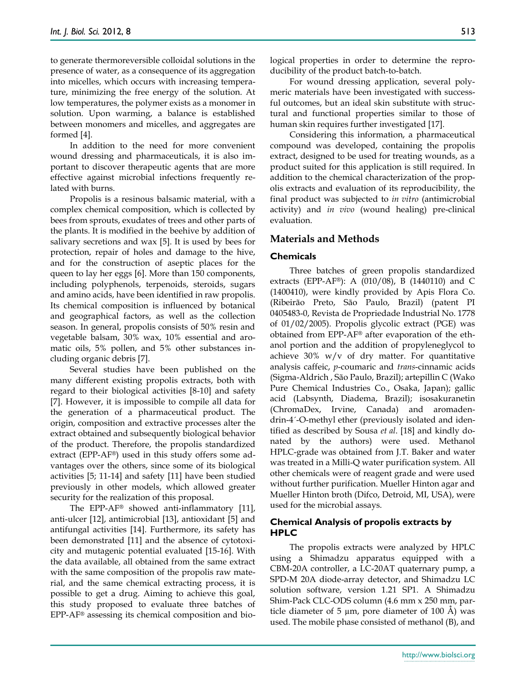to generate thermoreversible colloidal solutions in the presence of water, as a consequence of its aggregation into micelles, which occurs with increasing temperature, minimizing the free energy of the solution. At low temperatures, the polymer exists as a monomer in solution. Upon warming, a balance is established between monomers and micelles, and aggregates are formed [4].

In addition to the need for more convenient wound dressing and pharmaceuticals, it is also important to discover therapeutic agents that are more effective against microbial infections frequently related with burns.

Propolis is a resinous balsamic material, with a complex chemical composition, which is collected by bees from sprouts, exudates of trees and other parts of the plants. It is modified in the beehive by addition of salivary secretions and wax [5]. It is used by bees for protection, repair of holes and damage to the hive, and for the construction of aseptic places for the queen to lay her eggs [6]. More than 150 components, including polyphenols, terpenoids, steroids, sugars and amino acids, have been identified in raw propolis. Its chemical composition is influenced by botanical and geographical factors, as well as the collection season. In general, propolis consists of 50% resin and vegetable balsam, 30% wax, 10% essential and aromatic oils, 5% pollen, and 5% other substances including organic debris [7].

Several studies have been published on the many different existing propolis extracts, both with regard to their biological activities [8-10] and safety [7]. However, it is impossible to compile all data for the generation of a pharmaceutical product. The origin, composition and extractive processes alter the extract obtained and subsequently biological behavior of the product. Therefore, the propolis standardized extract (EPP-AF®) used in this study offers some advantages over the others, since some of its biological activities [5; 11-14] and safety [11] have been studied previously in other models, which allowed greater security for the realization of this proposal.

The EPP-AF® showed anti-inflammatory [11], anti-ulcer [12], antimicrobial [13], antioxidant [5] and antifungal activities [14]. Furthermore, its safety has been demonstrated [11] and the absence of cytotoxicity and mutagenic potential evaluated [15-16]. With the data available, all obtained from the same extract with the same composition of the propolis raw material, and the same chemical extracting process, it is possible to get a drug. Aiming to achieve this goal, this study proposed to evaluate three batches of EPP-AF® assessing its chemical composition and biological properties in order to determine the reproducibility of the product batch-to-batch.

For wound dressing application, several polymeric materials have been investigated with successful outcomes, but an ideal skin substitute with structural and functional properties similar to those of human skin requires further investigated [17].

Considering this information, a pharmaceutical compound was developed, containing the propolis extract, designed to be used for treating wounds, as a product suited for this application is still required. In addition to the chemical characterization of the propolis extracts and evaluation of its reproducibility, the final product was subjected to *in vitro* (antimicrobial activity) and *in vivo* (wound healing) pre-clinical evaluation.

## **Materials and Methods**

#### **Chemicals**

Three batches of green propolis standardized extracts (EPP-AF®): A (010/08), B (1440110) and C (1400410), were kindly provided by Apis Flora Co. (Ribeirão Preto, São Paulo, Brazil) (patent PI 0405483-0, Revista de Propriedade Industrial No. 1778 of 01/02/2005). Propolis glycolic extract (PGE) was obtained from EPP-AF® after evaporation of the ethanol portion and the addition of propyleneglycol to achieve  $30\%$  w/v of dry matter. For quantitative analysis caffeic, *p*-coumaric and *trans*-cinnamic acids (Sigma-Aldrich , São Paulo, Brazil); artepillin C (Wako Pure Chemical Industries Co., Osaka, Japan); gallic acid (Labsynth, Diadema, Brazil); isosakuranetin (ChromaDex, Irvine, Canada) and aromadendrin-4´-O-methyl ether (previously isolated and identified as described by Sousa *et al*. [18] and kindly donated by the authors) were used. Methanol HPLC-grade was obtained from J.T. Baker and water was treated in a Milli-Q water purification system. All other chemicals were of reagent grade and were used without further purification. Mueller Hinton agar and Mueller Hinton broth (Difco, Detroid, MI, USA), were used for the microbial assays.

## **Chemical Analysis of propolis extracts by HPLC**

The propolis extracts were analyzed by HPLC using a Shimadzu apparatus equipped with a CBM-20A controller, a LC-20AT quaternary pump, a SPD-M 20A diode-array detector, and Shimadzu LC solution software, version 1.21 SP1. A Shimadzu Shim-Pack CLC-ODS column (4.6 mm x 250 mm, particle diameter of  $5 \mu m$ , pore diameter of 100 A) was used. The mobile phase consisted of methanol (B), and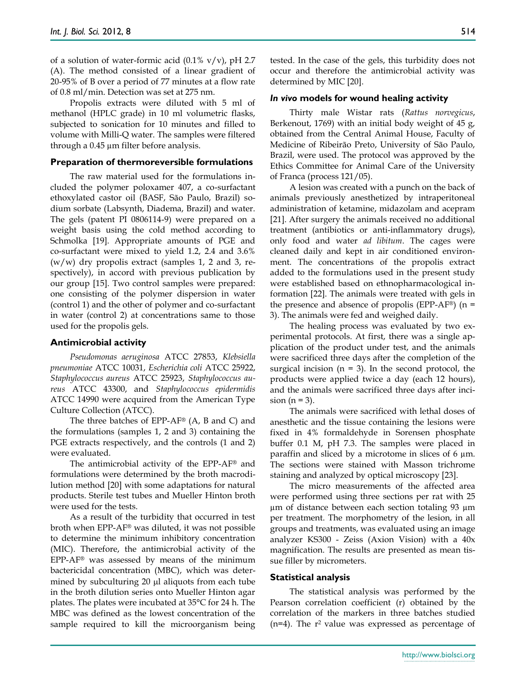of a solution of water-formic acid  $(0.1\% \text{ v/v})$ , pH 2.7 (A). The method consisted of a linear gradient of 20-95% of B over a period of 77 minutes at a flow rate of 0.8 ml/min. Detection was set at 275 nm.

Propolis extracts were diluted with 5 ml of methanol (HPLC grade) in 10 ml volumetric flasks, subjected to sonication for 10 minutes and filled to volume with Milli-Q water. The samples were filtered through a 0.45 µm filter before analysis.

#### **Preparation of thermoreversible formulations**

The raw material used for the formulations included the polymer poloxamer 407, a co-surfactant ethoxylated castor oil (BASF, São Paulo, Brazil) sodium sorbate (Labsynth, Diadema, Brazil) and water. The gels (patent PI 0806114-9) were prepared on a weight basis using the cold method according to Schmolka [19]. Appropriate amounts of PGE and co-surfactant were mixed to yield 1.2, 2.4 and 3.6%  $(w/w)$  dry propolis extract (samples 1, 2 and 3, respectively), in accord with previous publication by our group [15]. Two control samples were prepared: one consisting of the polymer dispersion in water (control 1) and the other of polymer and co-surfactant in water (control 2) at concentrations same to those used for the propolis gels.

#### **Antimicrobial activity**

*Pseudomonas aeruginosa* ATCC 27853, *Klebsiella pneumoniae* ATCC 10031, *Escherichia coli* ATCC 25922, *Staphylococcus aureus* ATCC 25923, *Staphylococcus aureus* ATCC 43300, and *Staphylococcus epidermidis* ATCC 14990 were acquired from the American Type Culture Collection (ATCC).

The three batches of EPP-AF® (A, B and C) and the formulations (samples 1, 2 and 3) containing the PGE extracts respectively, and the controls  $(1 \text{ and } 2)$ were evaluated.

The antimicrobial activity of the EPP-AF® and formulations were determined by the broth macrodilution method [20] with some adaptations for natural products. Sterile test tubes and Mueller Hinton broth were used for the tests.

As a result of the turbidity that occurred in test broth when EPP-AF® was diluted, it was not possible to determine the minimum inhibitory concentration (MIC). Therefore, the antimicrobial activity of the EPP-AF® was assessed by means of the minimum bactericidal concentration (MBC), which was determined by subculturing  $20 \mu l$  aliquots from each tube in the broth dilution series onto Mueller Hinton agar plates. The plates were incubated at 35°C for 24 h. The MBC was defined as the lowest concentration of the sample required to kill the microorganism being

tested. In the case of the gels, this turbidity does not occur and therefore the antimicrobial activity was determined by MIC [20].

#### *In vivo* **models for wound healing activity**

Thirty male Wistar rats (*Rattus norvegicus*, Berkenout, 1769) with an initial body weight of 45 g, obtained from the Central Animal House, Faculty of Medicine of Ribeirão Preto, University of São Paulo, Brazil, were used. The protocol was approved by the Ethics Committee for Animal Care of the University of Franca (process 121/05).

A lesion was created with a punch on the back of animals previously anesthetized by intraperitoneal administration of ketamine, midazolam and acepram [21]. After surgery the animals received no additional treatment (antibiotics or anti-inflammatory drugs), only food and water *ad libitum*. The cages were cleaned daily and kept in air conditioned environment. The concentrations of the propolis extract added to the formulations used in the present study were established based on ethnopharmacological information [22]. The animals were treated with gels in the presence and absence of propolis (EPP-AF<sup>®</sup>) (n = 3). The animals were fed and weighed daily.

The healing process was evaluated by two experimental protocols. At first, there was a single application of the product under test, and the animals were sacrificed three days after the completion of the surgical incision ( $n = 3$ ). In the second protocol, the products were applied twice a day (each 12 hours), and the animals were sacrificed three days after incision  $(n = 3)$ .

The animals were sacrificed with lethal doses of anesthetic and the tissue containing the lesions were fixed in 4% formaldehyde in Sorensen phosphate buffer 0.1 M, pH 7.3. The samples were placed in paraffin and sliced by a microtome in slices of 6  $\mu$ m. The sections were stained with Masson trichrome staining and analyzed by optical microscopy [23].

The micro measurements of the affected area were performed using three sections per rat with 25 µm of distance between each section totaling 93 µm per treatment. The morphometry of the lesion, in all groups and treatments, was evaluated using an image analyzer KS300 - Zeiss (Axion Vision) with a 40x magnification. The results are presented as mean tissue filler by micrometers.

#### **Statistical analysis**

The statistical analysis was performed by the Pearson correlation coefficient (r) obtained by the correlation of the markers in three batches studied  $(n=4)$ . The r<sup>2</sup> value was expressed as percentage of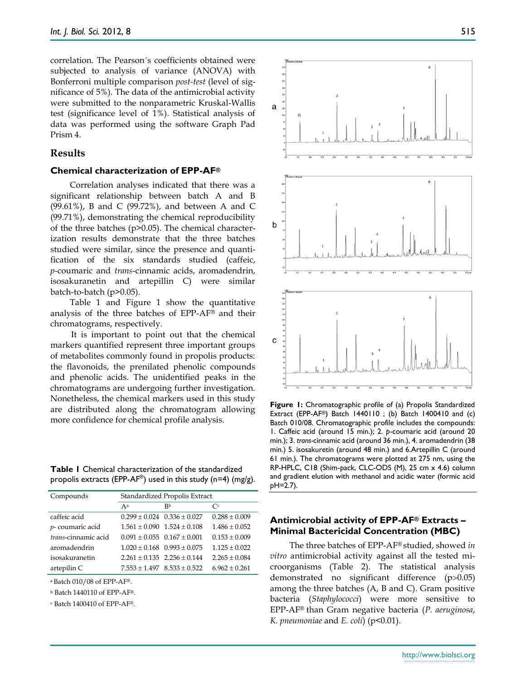correlation. The Pearson´s coefficients obtained were subjected to analysis of variance (ANOVA) with Bonferroni multiple comparison *post-test* (level of significance of 5%). The data of the antimicrobial activity were submitted to the nonparametric Kruskal-Wallis test (significance level of 1%). Statistical analysis of data was performed using the software Graph Pad Prism 4.

## **Results**

#### **Chemical characterization of EPP-AF®**

Correlation analyses indicated that there was a significant relationship between batch A and B (99.61%), B and C (99.72%), and between A and C (99.71%), demonstrating the chemical reproducibility of the three batches (p>0.05). The chemical characterization results demonstrate that the three batches studied were similar, since the presence and quantification of the six standards studied (caffeic, *p*-coumaric and *trans*-cinnamic acids, aromadendrin, isosakuranetin and artepillin C) were similar batch-to-batch (p>0.05).

Table 1 and Figure 1 show the quantitative analysis of the three batches of EPP-AF® and their chromatograms, respectively.

It is important to point out that the chemical markers quantified represent three important groups of metabolites commonly found in propolis products: the flavonoids, the prenilated phenolic compounds and phenolic acids. The unidentified peaks in the chromatograms are undergoing further investigation. Nonetheless, the chemical markers used in this study are distributed along the chromatogram allowing more confidence for chemical profile analysis.

**Table 1** Chemical characterization of the standardized propolis extracts (EPP-AF®) used in this study (n=4) (mg/g).

| Compounds           | Standardized Propolis Extract       |                |                   |  |  |  |
|---------------------|-------------------------------------|----------------|-------------------|--|--|--|
|                     | Aa                                  | R <sub>b</sub> | $\mathcal{C}^c$   |  |  |  |
| caffeic acid        | $0.299 \pm 0.024$ $0.336 \pm 0.027$ |                | $0.288 + 0.009$   |  |  |  |
| p-coumaric acid     | $1.561 \pm 0.090$ $1.524 \pm 0.108$ |                | $1.486 + 0.052$   |  |  |  |
| trans-cinnamic acid | $0.091 + 0.055$ $0.167 + 0.001$     |                | $0.153 + 0.009$   |  |  |  |
| aromadendrin        | $1.020 + 0.168$ $0.993 + 0.075$     |                | $1.125 + 0.022$   |  |  |  |
| isosakuranetin      | $2.261 \pm 0.135$ $2.256 \pm 0.144$ |                | $2.265 + 0.084$   |  |  |  |
| artepilin C         | $7.553 \pm 1.497$ $8.533 \pm 0.522$ |                | $6.962 \pm 0.261$ |  |  |  |

 $a$  Batch 010/08 of EPP-AF®.

<sup>b</sup> Batch 1440110 of EPP-AF®.

<sup>c</sup> Batch 1400410 of EPP-AF®.



**Figure 1:** Chromatographic profile of (a) Propolis Standardized Extract (EPP-AF®) Batch 1440110 ; (b) Batch 1400410 and (c) Batch 010/08. Chromatographic profile includes the compounds: 1. Caffeic acid (around 15 min.); 2. *p*-coumaric acid (around 20 min.); 3. *trans-*cinnamic acid (around 36 min.), 4. aromadendrin (38 min.) 5. isosakuretin (around 48 min.) and 6.Artepillin C (around 61 min.). The chromatograms were plotted at 275 nm, using the RP-HPLC, C18 (Shim-pack, CLC-ODS (M), 25 cm x 4.6) column and gradient elution with methanol and acidic water (formic acid pH=2.7).

## **Antimicrobial activity of EPP-AF® Extracts – Minimal Bactericidal Concentration (MBC)**

The three batches of EPP-AF® studied, showed *in vitro* antimicrobial activity against all the tested microorganisms (Table 2). The statistical analysis demonstrated no significant difference  $(p>0.05)$ among the three batches (A, B and C). Gram positive bacteria (*Staphylococci*) were more sensitive to EPP-AF® than Gram negative bacteria (*P. aeruginosa*, *K. pneumoniae* and *E. coli*) (p<0.01).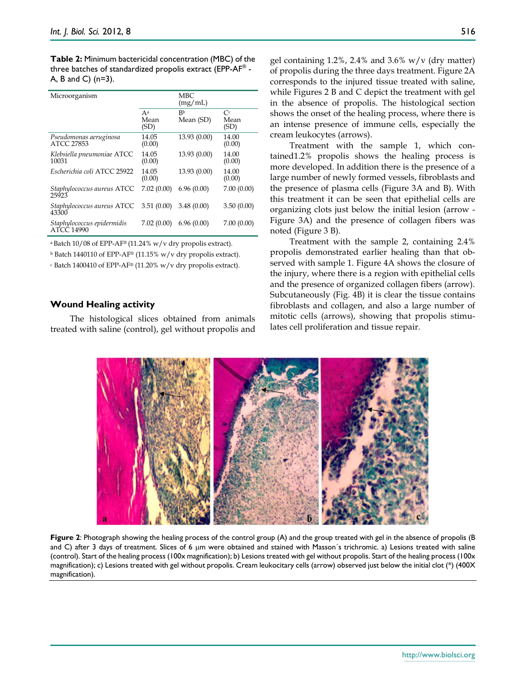**Table 2:** Minimum bactericidal concentration (MBC) of the three batches of standardized propolis extract (EPP-AF® - A, B and C) (n=3).

| Microorganism                            |                       |                             |                                |
|------------------------------------------|-----------------------|-----------------------------|--------------------------------|
|                                          | $A^a$<br>Mean<br>(SD) | R <sub>b</sub><br>Mean (SD) | $\mathsf{C}^c$<br>Mean<br>(SD) |
| Pseudomonas aeruginosa<br>ATCC 27853     | 14.05<br>(0.00)       | 13.93 (0.00)                | 14.00<br>(0.00)                |
| Klebsiella pneumoniae ATCC<br>10031      | 14.05<br>(0.00)       | 13.93 (0.00)                | 14.00<br>(0.00)                |
| Escherichia coli ATCC 25922              | 14.05<br>(0.00)       | 13.93 (0.00)                | 14.00<br>(0.00)                |
| Staphylococcus aureus ATCC<br>25923      | 7.02(0.00)            | 6.96(0.00)                  | 7.00(0.00)                     |
| Staphylococcus aureus ATCC<br>43300      | 3.51(0.00)            | 3.48(0.00)                  | 3.50(0.00)                     |
| Staphylococcus epidermidis<br>ATCC 14990 | 7.02(0.00)            | 6.96(0.00)                  | 7.00(0.00)                     |

<sup>a</sup> Batch 10/08 of EPP-AF<sup>®</sup> (11.24% w/v dry propolis extract).

 $b$  Batch 1440110 of EPP-AF® (11.15% w/v dry propolis extract).

<sup>c</sup> Batch 1400410 of EPP-AF® (11.20% w/v dry propolis extract).

#### **Wound Healing activity**

The histological slices obtained from animals treated with saline (control), gel without propolis and gel containing  $1.2\%$ ,  $2.4\%$  and  $3.6\%$  w/v (dry matter) of propolis during the three days treatment. Figure 2A corresponds to the injured tissue treated with saline, while Figures 2 B and C depict the treatment with gel in the absence of propolis. The histological section shows the onset of the healing process, where there is an intense presence of immune cells, especially the cream leukocytes (arrows).

Treatment with the sample 1, which contained1.2% propolis shows the healing process is more developed. In addition there is the presence of a large number of newly formed vessels, fibroblasts and the presence of plasma cells (Figure 3A and B). With this treatment it can be seen that epithelial cells are organizing clots just below the initial lesion (arrow - Figure 3A) and the presence of collagen fibers was noted (Figure 3 B).

Treatment with the sample 2, containing 2.4% propolis demonstrated earlier healing than that observed with sample 1. Figure 4A shows the closure of the injury, where there is a region with epithelial cells and the presence of organized collagen fibers (arrow). Subcutaneously (Fig. 4B) it is clear the tissue contains fibroblasts and collagen, and also a large number of mitotic cells (arrows), showing that propolis stimulates cell proliferation and tissue repair.



**Figure 2**: Photograph showing the healing process of the control group (A) and the group treated with gel in the absence of propolis (B and C) after 3 days of treatment. Slices of 6  $\mu$ m were obtained and stained with Masson's trichromic. a) Lesions treated with saline (control). Start of the healing process (100x magnification); b) Lesions treated with gel without propolis. Start of the healing process (100x magnification); c) Lesions treated with gel without propolis. Cream leukocitary cells (arrow) observed just below the initial clot (\*) (400X magnification).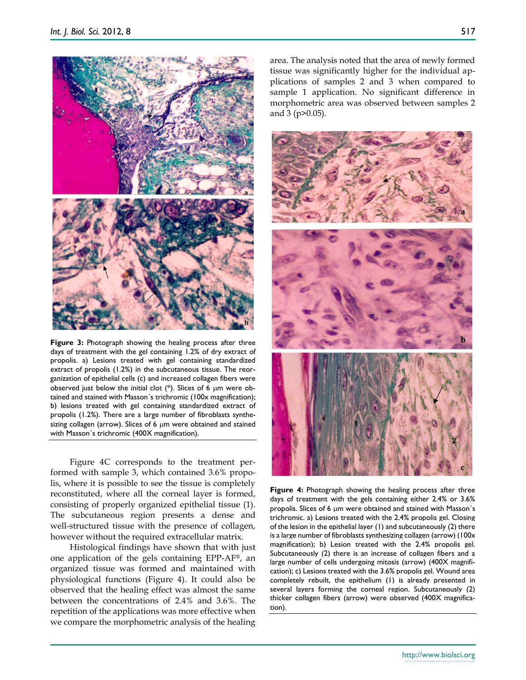

**Figure 3:** Photograph showing the healing process after three days of treatment with the gel containing 1.2% of dry extract of propolis. a) Lesions treated with gel containing standardized extract of propolis (1.2%) in the subcutaneous tissue. The reorganization of epithelial cells (c) and increased collagen fibers were observed just below the initial clot  $(*)$ . Slices of 6  $\mu$ m were obtained and stained with Masson´s trichromic (100x magnification); b) lesions treated with gel containing standardized extract of propolis (1.2%). There are a large number of fibroblasts synthesizing collagen (arrow). Slices of 6  $\mu$ m were obtained and stained with Masson´s trichromic (400X magnification).

Figure 4C corresponds to the treatment performed with sample 3, which contained 3.6% propolis, where it is possible to see the tissue is completely reconstituted, where all the corneal layer is formed, consisting of properly organized epithelial tissue (1). The subcutaneous region presents a dense and well-structured tissue with the presence of collagen, however without the required extracellular matrix.

Histological findings have shown that with just one application of the gels containing EPP-AF®, an organized tissue was formed and maintained with physiological functions (Figure 4). It could also be observed that the healing effect was almost the same between the concentrations of 2.4% and 3.6%. The repetition of the applications was more effective when we compare the morphometric analysis of the healing

area. The analysis noted that the area of newly formed tissue was significantly higher for the individual applications of samples 2 and 3 when compared to sample 1 application. No significant difference in morphometric area was observed between samples 2 and 3 (p>0.05).



**Figure 4:** Photograph showing the healing process after three days of treatment with the gels containing either 2.4% or 3.6% propolis. Slices of 6 um were obtained and stained with Masson's trichromic. a) Lesions treated with the 2.4% propolis gel. Closing of the lesion in the epithelial layer (1) and subcutaneously (2) there is a large number of fibroblasts synthesizing collagen (arrow) (100x magnification); b) Lesion treated with the 2.4% propolis gel. Subcutaneously (2) there is an increase of collagen fibers and a large number of cells undergoing mitosis (arrow) (400X magnification); c) Lesions treated with the 3.6% propolis gel. Wound area completely rebuilt, the epithelium (1) is already presented in several layers forming the corneal region. Subcutaneously (2) thicker collagen fibers (arrow) were observed (400X magnification).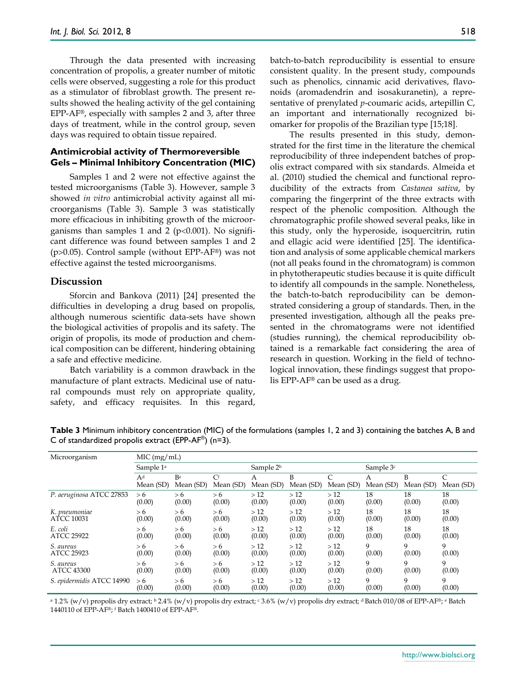Through the data presented with increasing concentration of propolis, a greater number of mitotic cells were observed, suggesting a role for this product as a stimulator of fibroblast growth. The present results showed the healing activity of the gel containing EPP-AF®, especially with samples 2 and 3, after three days of treatment, while in the control group, seven days was required to obtain tissue repaired.

### **Antimicrobial activity of Thermoreversible Gels – Minimal Inhibitory Concentration (MIC)**

Samples 1 and 2 were not effective against the tested microorganisms (Table 3). However, sample 3 showed *in vitro* antimicrobial activity against all microorganisms (Table 3). Sample 3 was statistically more efficacious in inhibiting growth of the microorganisms than samples 1 and 2 ( $p<0.001$ ). No significant difference was found between samples 1 and 2 ( $p>0.05$ ). Control sample (without EPP-AF<sup>®</sup>) was not effective against the tested microorganisms.

#### **Discussion**

Sforcin and Bankova (2011) [24] presented the difficulties in developing a drug based on propolis, although numerous scientific data-sets have shown the biological activities of propolis and its safety. The origin of propolis, its mode of production and chemical composition can be different, hindering obtaining a safe and effective medicine.

Batch variability is a common drawback in the manufacture of plant extracts. Medicinal use of natural compounds must rely on appropriate quality, safety, and efficacy requisites. In this regard,

batch-to-batch reproducibility is essential to ensure consistent quality. In the present study, compounds such as phenolics, cinnamic acid derivatives, flavonoids (aromadendrin and isosakuranetin), a representative of prenylated *p*-coumaric acids, artepillin C, an important and internationally recognized biomarker for propolis of the Brazilian type [15;18].

The results presented in this study, demonstrated for the first time in the literature the chemical reproducibility of three independent batches of propolis extract compared with six standards. Almeida et al. (2010) studied the chemical and functional reproducibility of the extracts from *Castanea sativa*, by comparing the fingerprint of the three extracts with respect of the phenolic composition. Although the chromatographic profile showed several peaks, like in this study, only the hyperoside, isoquercitrin, rutin and ellagic acid were identified [25]. The identification and analysis of some applicable chemical markers (not all peaks found in the chromatogram) is common in phytotherapeutic studies because it is quite difficult to identify all compounds in the sample. Nonetheless, the batch-to-batch reproducibility can be demonstrated considering a group of standards. Then, in the presented investigation, although all the peaks presented in the chromatograms were not identified (studies running), the chemical reproducibility obtained is a remarkable fact considering the area of research in question. Working in the field of technological innovation, these findings suggest that propolis EPP-AF® can be used as a drug.

| Microorganism             | MIC (mg/mL)                 |                 |                        |                       |                |           |                       |                |           |
|---------------------------|-----------------------------|-----------------|------------------------|-----------------------|----------------|-----------|-----------------------|----------------|-----------|
|                           | Sample 1 <sup>a</sup>       |                 |                        | Sample 2 <sup>b</sup> |                |           | Sample 3 <sup>c</sup> |                |           |
|                           | A <sup>d</sup><br>Mean (SD) | Be<br>Mean (SD) | $\rm C^f$<br>Mean (SD) | Α<br>Mean (SD)        | B<br>Mean (SD) | Mean (SD) | Α<br>Mean (SD)        | B<br>Mean (SD) | Mean (SD) |
| P. aeruginosa ATCC 27853  | > 6                         | > 6             | > 6                    | >12                   | >12            | >12       | 18                    | 18             | 18        |
|                           | (0.00)                      | (0.00)          | (0.00)                 | (0.00)                | (0.00)         | (0.00)    | (0.00)                | (0.00)         | (0.00)    |
| K. pneumoniae             | > 6                         | > 6             | > 6                    | >12                   | >12            | >12       | 18                    | 18             | 18        |
| ATCC 10031                | (0.00)                      | (0.00)          | (0.00)                 | (0.00)                | (0.00)         | (0.00)    | (0.00)                | (0.00)         | (0.00)    |
| E. coli                   | > 6                         | > 6             | > 6                    | >12                   | >12            | >12       | 18                    | 18             | 18        |
| <b>ATCC 25922</b>         | (0.00)                      | (0.00)          | (0.00)                 | (0.00)                | (0.00)         | (0.00)    | (0.00)                | (0.00)         | (0.00)    |
| S. aureus                 | > 6                         | > 6             | > 6                    | >12                   | >12            | >12       | 9                     | 9              | 9         |
| <b>ATCC 25923</b>         | (0.00)                      | (0.00)          | (0.00)                 | (0.00)                | (0.00)         | (0.00)    | (0.00)                | (0.00)         | (0.00)    |
| S. aureus                 | > 6                         | > 6             | > 6                    | >12                   | >12            | >12       | 9                     | 9              | 9         |
| <b>ATCC 43300</b>         | (0.00)                      | (0.00)          | (0.00)                 | (0.00)                | (0.00)         | (0.00)    | (0.00)                | (0.00)         | (0.00)    |
| S. epidermidis ATCC 14990 | > 6                         | > 6             | > 6                    | >12                   | >12            | >12       | 9                     | 9              | 9         |
|                           | (0.00)                      | (0.00)          | (0.00)                 | (0.00)                | (0.00)         | (0.00)    | (0.00)                | (0.00)         | (0.00)    |

**Table 3** Minimum inhibitory concentration (MIC) of the formulations (samples 1, 2 and 3) containing the batches A, B and C of standardized propolis extract (EPP-AF®) (n=3).

<sup>a</sup> 1.2% (w/v) propolis dry extract; <sup>b</sup> 2.4% (w/v) propolis dry extract; <sup>c</sup> 3.6% (w/v) propolis dry extract; <sup>d</sup> Batch 010/08 of EPP-AF®; <sup>e</sup> Batch 1440110 of EPP-AF®; <sup>f</sup> Batch 1400410 of EPP-AF®.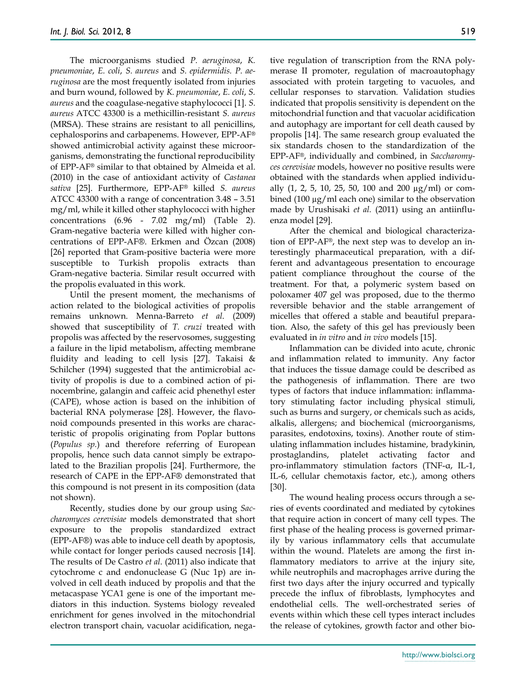The microorganisms studied *P. aeruginosa*, *K. pneumoniae*, *E. coli*, *S. aureus* and *S. epidermidis. P. aeruginosa* are the most frequently isolated from injuries and burn wound, followed by *K. pneumoniae*, *E. coli*, *S. aureus* and the coagulase-negative staphylococci [1]. *S. aureus* ATCC 43300 is a methicillin-resistant *S. aureus*  (MRSA). These strains are resistant to all penicillins, cephalosporins and carbapenems. However, EPP-AF® showed antimicrobial activity against these microorganisms, demonstrating the functional reproducibility of EPP-AF® similar to that obtained by Almeida et al. (2010) in the case of antioxidant activity of *Castanea sativa* [25]. Furthermore, EPP-AF® killed *S. aureus*  ATCC 43300 with a range of concentration 3.48 – 3.51 mg/ml, while it killed other staphylococci with higher concentrations (6.96 - 7.02 mg/ml) (Table 2). Gram-negative bacteria were killed with higher concentrations of EPP-AF®. Erkmen and Özcan (2008) [26] reported that Gram-positive bacteria were more susceptible to Turkish propolis extracts than Gram-negative bacteria. Similar result occurred with the propolis evaluated in this work.

Until the present moment, the mechanisms of action related to the biological activities of propolis remains unknown. Menna-Barreto *et al*. (2009) showed that susceptibility of *T. cruzi* treated with propolis was affected by the reservosomes, suggesting a failure in the lipid metabolism, affecting membrane fluidity and leading to cell lysis [27]. Takaisi & Schilcher (1994) suggested that the antimicrobial activity of propolis is due to a combined action of pinocembrine, galangin and caffeic acid phenethyl ester (CAPE), whose action is based on the inhibition of bacterial RNA polymerase [28]. However, the flavonoid compounds presented in this works are characteristic of propolis originating from Poplar buttons (*Populus sp.*) and therefore referring of European propolis, hence such data cannot simply be extrapolated to the Brazilian propolis [24]. Furthermore, the research of CAPE in the EPP-AF® demonstrated that this compound is not present in its composition (data not shown).

Recently, studies done by our group using *Saccharomyces cerevisiae* models demonstrated that short exposure to the propolis standardized extract (EPP-AF®) was able to induce cell death by apoptosis, while contact for longer periods caused necrosis [14]. The results of De Castro *et al*. (2011) also indicate that cytochrome c and endonuclease G (Nuc 1p) are involved in cell death induced by propolis and that the metacaspase YCA1 gene is one of the important mediators in this induction. Systems biology revealed enrichment for genes involved in the mitochondrial electron transport chain, vacuolar acidification, negative regulation of transcription from the RNA polymerase II promoter, regulation of macroautophagy associated with protein targeting to vacuoles, and cellular responses to starvation. Validation studies indicated that propolis sensitivity is dependent on the mitochondrial function and that vacuolar acidification and autophagy are important for cell death caused by propolis [14]. The same research group evaluated the six standards chosen to the standardization of the EPP-AF®, individually and combined, in *Saccharomyces cerevisiae* models, however no positive results were obtained with the standards when applied individually  $(1, 2, 5, 10, 25, 50, 100, \text{ and } 200, \mu g/ml)$  or combined (100 µg/ml each one) similar to the observation made by Urushisaki *et al.* (2011) using an antiinfluenza model [29].

After the chemical and biological characterization of EPP-AF®, the next step was to develop an interestingly pharmaceutical preparation, with a different and advantageous presentation to encourage patient compliance throughout the course of the treatment. For that, a polymeric system based on poloxamer 407 gel was proposed, due to the thermo reversible behavior and the stable arrangement of micelles that offered a stable and beautiful preparation. Also, the safety of this gel has previously been evaluated in *in vitro* and *in vivo* models [15].

Inflammation can be divided into acute, chronic and inflammation related to immunity. Any factor that induces the tissue damage could be described as the pathogenesis of inflammation. There are two types of factors that induce inflammation: inflammatory stimulating factor including physical stimuli, such as burns and surgery, or chemicals such as acids, alkalis, allergens; and biochemical (microorganisms, parasites, endotoxins, toxins). Another route of stimulating inflammation includes histamine, bradykinin, prostaglandins, platelet activating factor and pro-inflammatory stimulation factors (TNF-α, IL-1, IL-6, cellular chemotaxis factor, etc.), among others [30].

The wound healing process occurs through a series of events coordinated and mediated by cytokines that require action in concert of many cell types. The first phase of the healing process is governed primarily by various inflammatory cells that accumulate within the wound. Platelets are among the first inflammatory mediators to arrive at the injury site, while neutrophils and macrophages arrive during the first two days after the injury occurred and typically precede the influx of fibroblasts, lymphocytes and endothelial cells. The well-orchestrated series of events within which these cell types interact includes the release of cytokines, growth factor and other bio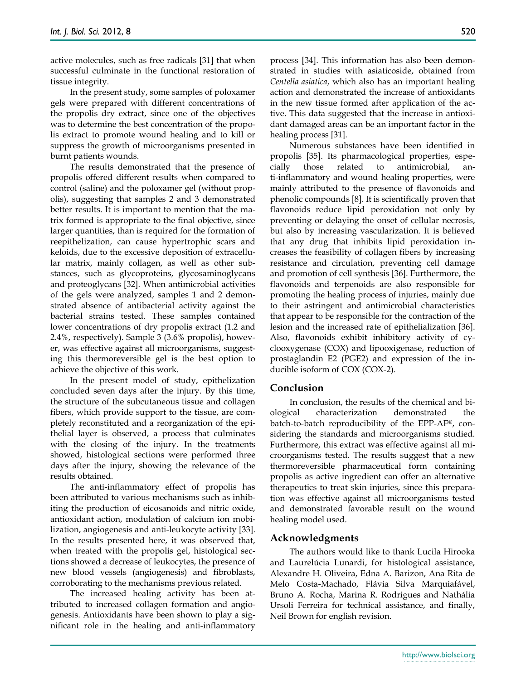active molecules, such as free radicals [31] that when successful culminate in the functional restoration of tissue integrity.

In the present study, some samples of poloxamer gels were prepared with different concentrations of the propolis dry extract, since one of the objectives was to determine the best concentration of the propolis extract to promote wound healing and to kill or suppress the growth of microorganisms presented in burnt patients wounds.

The results demonstrated that the presence of propolis offered different results when compared to control (saline) and the poloxamer gel (without propolis), suggesting that samples 2 and 3 demonstrated better results. It is important to mention that the matrix formed is appropriate to the final objective, since larger quantities, than is required for the formation of reepithelization, can cause hypertrophic scars and keloids, due to the excessive deposition of extracellular matrix, mainly collagen, as well as other substances, such as glycoproteins, glycosaminoglycans and proteoglycans [32]. When antimicrobial activities of the gels were analyzed, samples 1 and 2 demonstrated absence of antibacterial activity against the bacterial strains tested. These samples contained lower concentrations of dry propolis extract (1.2 and 2.4%, respectively). Sample 3 (3.6% propolis), however, was effective against all microorganisms, suggesting this thermoreversible gel is the best option to achieve the objective of this work.

In the present model of study, epithelization concluded seven days after the injury. By this time, the structure of the subcutaneous tissue and collagen fibers, which provide support to the tissue, are completely reconstituted and a reorganization of the epithelial layer is observed, a process that culminates with the closing of the injury. In the treatments showed, histological sections were performed three days after the injury, showing the relevance of the results obtained.

The anti-inflammatory effect of propolis has been attributed to various mechanisms such as inhibiting the production of eicosanoids and nitric oxide, antioxidant action, modulation of calcium ion mobilization, angiogenesis and anti-leukocyte activity [33]. In the results presented here, it was observed that, when treated with the propolis gel, histological sections showed a decrease of leukocytes, the presence of new blood vessels (angiogenesis) and fibroblasts, corroborating to the mechanisms previous related.

The increased healing activity has been attributed to increased collagen formation and angiogenesis. Antioxidants have been shown to play a significant role in the healing and anti-inflammatory process [34]. This information has also been demonstrated in studies with asiaticoside, obtained from *Centella asiatica*, which also has an important healing action and demonstrated the increase of antioxidants in the new tissue formed after application of the active. This data suggested that the increase in antioxidant damaged areas can be an important factor in the healing process [31].

Numerous substances have been identified in propolis [35]. Its pharmacological properties, especially those related to antimicrobial, ti-inflammatory and wound healing properties, were mainly attributed to the presence of flavonoids and phenolic compounds [8]. It is scientifically proven that flavonoids reduce lipid peroxidation not only by preventing or delaying the onset of cellular necrosis, but also by increasing vascularization. It is believed that any drug that inhibits lipid peroxidation increases the feasibility of collagen fibers by increasing resistance and circulation, preventing cell damage and promotion of cell synthesis [36]. Furthermore, the flavonoids and terpenoids are also responsible for promoting the healing process of injuries, mainly due to their astringent and antimicrobial characteristics that appear to be responsible for the contraction of the lesion and the increased rate of epithelialization [36]. Also, flavonoids exhibit inhibitory activity of cyclooxygenase (COX) and lipooxigenase, reduction of prostaglandin E2 (PGE2) and expression of the inducible isoform of COX (COX-2).

## **Conclusion**

In conclusion, the results of the chemical and biological characterization demonstrated the batch-to-batch reproducibility of the EPP-AF®, considering the standards and microorganisms studied. Furthermore, this extract was effective against all microorganisms tested. The results suggest that a new thermoreversible pharmaceutical form containing propolis as active ingredient can offer an alternative therapeutics to treat skin injuries, since this preparation was effective against all microorganisms tested and demonstrated favorable result on the wound healing model used.

#### **Acknowledgments**

The authors would like to thank Lucila Hirooka and Laurelúcia Lunardi, for histological assistance, Alexandre H. Oliveira, Edna A. Barizon, Ana Rita de Melo Costa-Machado, Flávia Silva Marquiafável, Bruno A. Rocha, Marina R. Rodrigues and Nathália Ursoli Ferreira for technical assistance, and finally, Neil Brown for english revision.